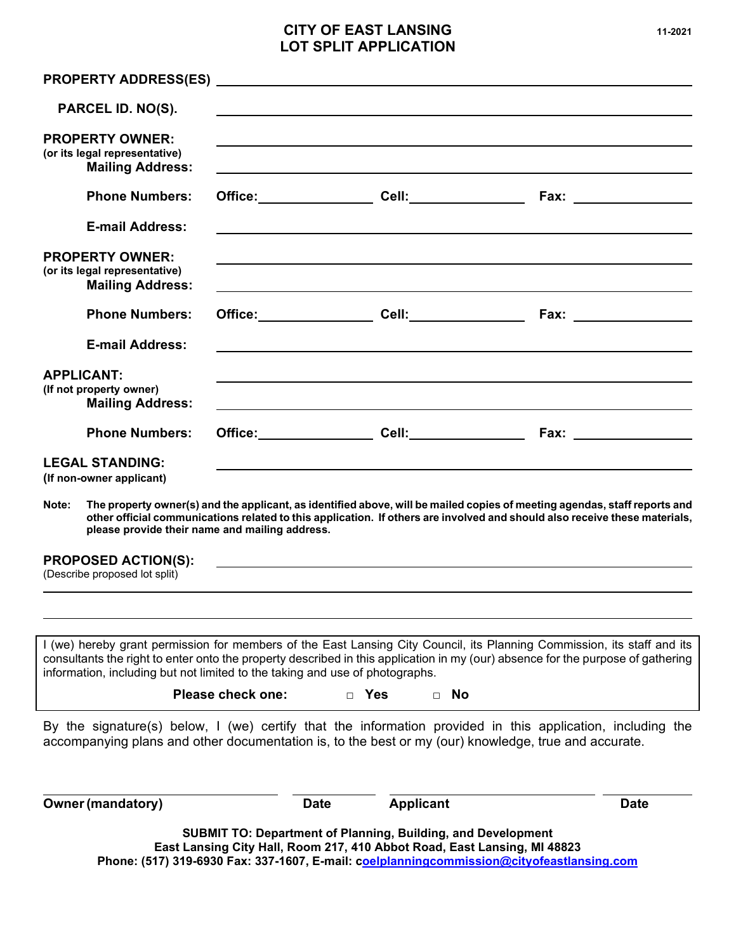## **CITY OF EAST LANSING 11-2021 LOT SPLIT APPLICATION**

|       | PARCEL ID. NO(S).                                                                                                                                                                                                                                                                                         |                          |               |                  |                                                                                                                                                                                                                                                            |             |  |  |  |  |
|-------|-----------------------------------------------------------------------------------------------------------------------------------------------------------------------------------------------------------------------------------------------------------------------------------------------------------|--------------------------|---------------|------------------|------------------------------------------------------------------------------------------------------------------------------------------------------------------------------------------------------------------------------------------------------------|-------------|--|--|--|--|
|       | <b>PROPERTY OWNER:</b><br>(or its legal representative)<br><b>Mailing Address:</b>                                                                                                                                                                                                                        |                          |               |                  |                                                                                                                                                                                                                                                            |             |  |  |  |  |
|       | <b>Phone Numbers:</b>                                                                                                                                                                                                                                                                                     |                          |               |                  |                                                                                                                                                                                                                                                            |             |  |  |  |  |
|       | <b>E-mail Address:</b>                                                                                                                                                                                                                                                                                    |                          |               |                  |                                                                                                                                                                                                                                                            |             |  |  |  |  |
|       | <b>PROPERTY OWNER:</b><br>(or its legal representative)<br><b>Mailing Address:</b>                                                                                                                                                                                                                        |                          |               |                  |                                                                                                                                                                                                                                                            |             |  |  |  |  |
|       | <b>Phone Numbers:</b>                                                                                                                                                                                                                                                                                     |                          |               |                  |                                                                                                                                                                                                                                                            |             |  |  |  |  |
|       | <b>E-mail Address:</b>                                                                                                                                                                                                                                                                                    |                          |               |                  | <u> 1989 - Johann John Stone, mensk politik en foarmen fan de ferskearre fan de ferskearre fan de ferskearre fan </u>                                                                                                                                      |             |  |  |  |  |
|       | <b>APPLICANT:</b><br>(If not property owner)<br><b>Mailing Address:</b>                                                                                                                                                                                                                                   |                          |               |                  |                                                                                                                                                                                                                                                            |             |  |  |  |  |
|       | <b>Phone Numbers:</b>                                                                                                                                                                                                                                                                                     |                          |               |                  |                                                                                                                                                                                                                                                            |             |  |  |  |  |
|       | <b>LEGAL STANDING:</b><br>(If non-owner applicant)                                                                                                                                                                                                                                                        |                          |               |                  |                                                                                                                                                                                                                                                            |             |  |  |  |  |
| Note: | The property owner(s) and the applicant, as identified above, will be mailed copies of meeting agendas, staff reports and<br>other official communications related to this application. If others are involved and should also receive these materials,<br>please provide their name and mailing address. |                          |               |                  |                                                                                                                                                                                                                                                            |             |  |  |  |  |
|       | <b>PROPOSED ACTION(S):</b><br>(Describe proposed lot split)                                                                                                                                                                                                                                               |                          |               |                  |                                                                                                                                                                                                                                                            |             |  |  |  |  |
|       |                                                                                                                                                                                                                                                                                                           |                          |               |                  |                                                                                                                                                                                                                                                            |             |  |  |  |  |
|       | information, including but not limited to the taking and use of photographs.                                                                                                                                                                                                                              |                          |               |                  | I (we) hereby grant permission for members of the East Lansing City Council, its Planning Commission, its staff and its<br>consultants the right to enter onto the property described in this application in my (our) absence for the purpose of gathering |             |  |  |  |  |
|       |                                                                                                                                                                                                                                                                                                           | <b>Please check one:</b> | Yes<br>$\Box$ | No<br>П.         |                                                                                                                                                                                                                                                            |             |  |  |  |  |
|       |                                                                                                                                                                                                                                                                                                           |                          |               |                  | By the signature(s) below, I (we) certify that the information provided in this application, including the<br>accompanying plans and other documentation is, to the best or my (our) knowledge, true and accurate.                                         |             |  |  |  |  |
|       | Owner (mandatory)                                                                                                                                                                                                                                                                                         |                          | <b>Date</b>   | <b>Applicant</b> |                                                                                                                                                                                                                                                            | <b>Date</b> |  |  |  |  |

**SUBMIT TO: Department of Planning, Building, and Development East Lansing City Hall, Room 217, 410 Abbot Road, East Lansing, MI 48823 Phone: (517) 319-6930 Fax: 337-1607, E-mail: [coelplanningcommission@cityofeastlansing.com](mailto:oelplanningcommission@cityofeastlansing.com)**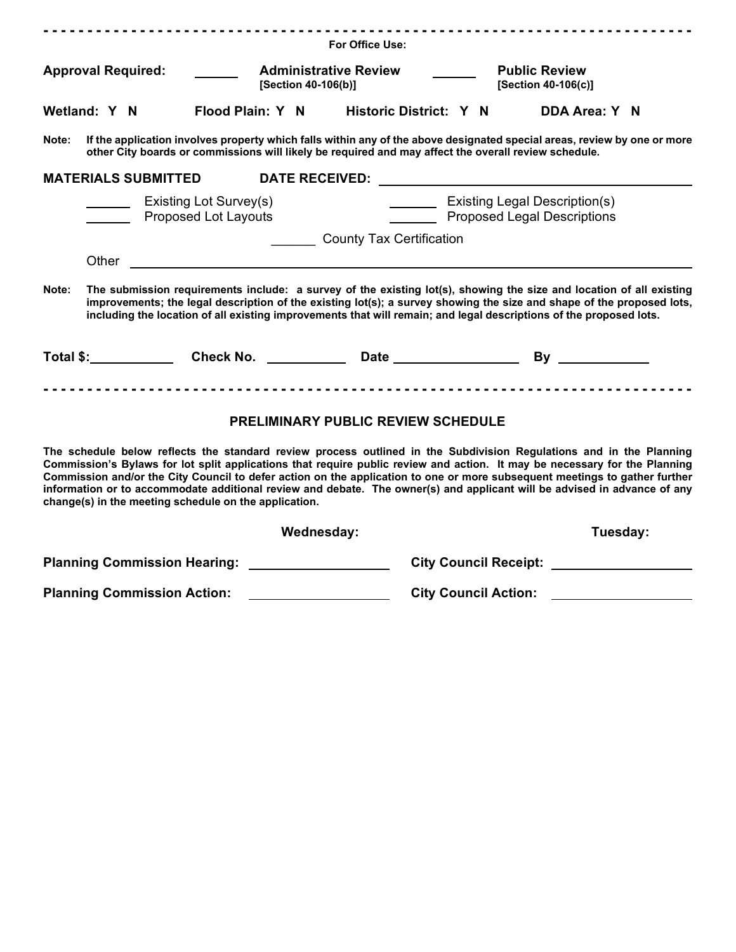| <b>For Office Use:</b>                                                                                                                                                                                                                    |                                                       |                                     |                                                       |                                                                     |            |  |                                             |  |  |                                                                                                                                                                                                                                                                                                                                                                                      |  |
|-------------------------------------------------------------------------------------------------------------------------------------------------------------------------------------------------------------------------------------------|-------------------------------------------------------|-------------------------------------|-------------------------------------------------------|---------------------------------------------------------------------|------------|--|---------------------------------------------|--|--|--------------------------------------------------------------------------------------------------------------------------------------------------------------------------------------------------------------------------------------------------------------------------------------------------------------------------------------------------------------------------------------|--|
| <b>Approval Required:</b>                                                                                                                                                                                                                 |                                                       |                                     | <b>Administrative Review</b><br>[Section 40-106(b)]   |                                                                     |            |  | <b>Public Review</b><br>[Section 40-106(c)] |  |  |                                                                                                                                                                                                                                                                                                                                                                                      |  |
| Wetland: Y N                                                                                                                                                                                                                              |                                                       |                                     |                                                       |                                                                     |            |  |                                             |  |  | Flood Plain: Y N Historic District: Y N DDA Area: Y N                                                                                                                                                                                                                                                                                                                                |  |
| If the application involves property which falls within any of the above designated special areas, review by one or more<br>Note:<br>other City boards or commissions will likely be required and may affect the overall review schedule. |                                                       |                                     |                                                       |                                                                     |            |  |                                             |  |  |                                                                                                                                                                                                                                                                                                                                                                                      |  |
|                                                                                                                                                                                                                                           |                                                       | <b>MATERIALS SUBMITTED</b>          |                                                       |                                                                     |            |  |                                             |  |  |                                                                                                                                                                                                                                                                                                                                                                                      |  |
|                                                                                                                                                                                                                                           | Existing Lot Survey(s)<br><b>Proposed Lot Layouts</b> |                                     |                                                       | <b>Existing Legal Description(s)</b><br>Proposed Legal Descriptions |            |  |                                             |  |  |                                                                                                                                                                                                                                                                                                                                                                                      |  |
|                                                                                                                                                                                                                                           | <b>County Tax Certification</b>                       |                                     |                                                       |                                                                     |            |  |                                             |  |  |                                                                                                                                                                                                                                                                                                                                                                                      |  |
|                                                                                                                                                                                                                                           | Other                                                 |                                     |                                                       |                                                                     |            |  |                                             |  |  |                                                                                                                                                                                                                                                                                                                                                                                      |  |
|                                                                                                                                                                                                                                           |                                                       |                                     |                                                       |                                                                     |            |  |                                             |  |  | improvements; the legal description of the existing lot(s); a survey showing the size and shape of the proposed lots,<br>including the location of all existing improvements that will remain; and legal descriptions of the proposed lots.                                                                                                                                          |  |
| <b>PRELIMINARY PUBLIC REVIEW SCHEDULE</b><br>The schedule below reflects the standard review process outlined in the Subdivision Regulations and in the Planning                                                                          |                                                       |                                     |                                                       |                                                                     |            |  |                                             |  |  |                                                                                                                                                                                                                                                                                                                                                                                      |  |
|                                                                                                                                                                                                                                           |                                                       |                                     | change(s) in the meeting schedule on the application. |                                                                     |            |  |                                             |  |  | Commission's Bylaws for lot split applications that require public review and action. It may be necessary for the Planning<br>Commission and/or the City Council to defer action on the application to one or more subsequent meetings to gather further<br>information or to accommodate additional review and debate. The owner(s) and applicant will be advised in advance of any |  |
|                                                                                                                                                                                                                                           |                                                       |                                     |                                                       |                                                                     | Wednesday: |  |                                             |  |  | Tuesday:                                                                                                                                                                                                                                                                                                                                                                             |  |
|                                                                                                                                                                                                                                           |                                                       | <b>Planning Commission Hearing:</b> |                                                       |                                                                     |            |  |                                             |  |  | <b>City Council Receipt: City Council Receipt:</b>                                                                                                                                                                                                                                                                                                                                   |  |
| <b>Planning Commission Action:</b>                                                                                                                                                                                                        |                                                       |                                     |                                                       |                                                                     |            |  | <b>City Council Action:</b>                 |  |  |                                                                                                                                                                                                                                                                                                                                                                                      |  |